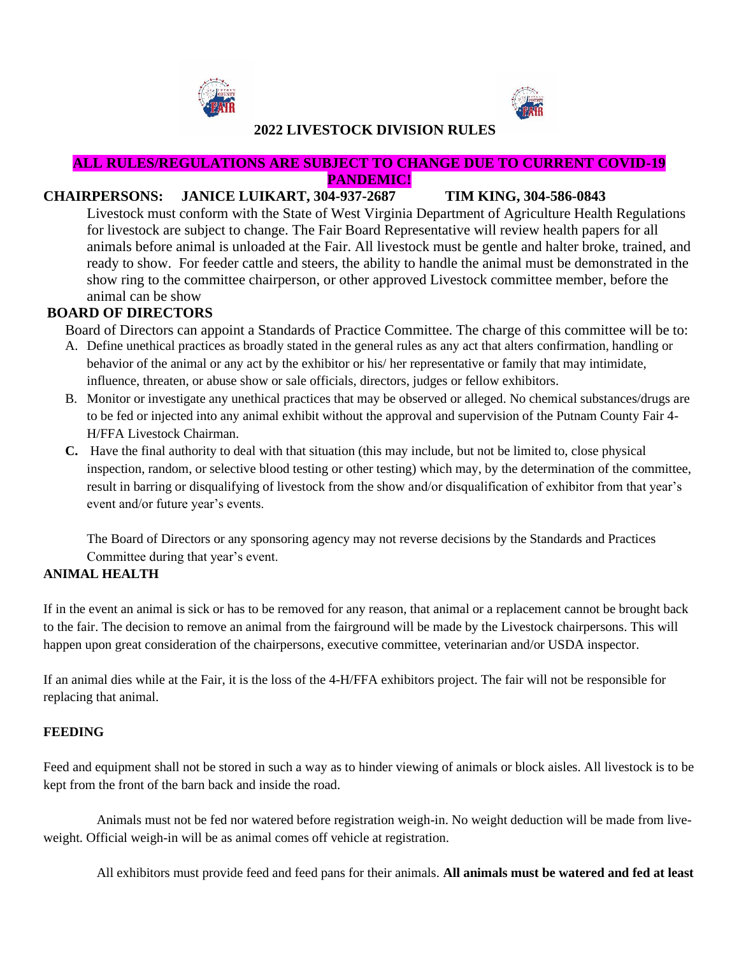



# **2022 LIVESTOCK DIVISION RULES**

#### **ALL RULES/REGULATIONS ARE SUBJECT TO CHANGE DUE TO CURRENT COVID-19 PANDEMIC!**

### **CHAIRPERSONS: JANICE LUIKART, 304-937-2687 TIM KING, 304-586-0843**

Livestock must conform with the State of West Virginia Department of Agriculture Health Regulations for livestock are subject to change. The Fair Board Representative will review health papers for all animals before animal is unloaded at the Fair. All livestock must be gentle and halter broke, trained, and ready to show. For feeder cattle and steers, the ability to handle the animal must be demonstrated in the show ring to the committee chairperson, or other approved Livestock committee member, before the animal can be show

# **BOARD OF DIRECTORS**

Board of Directors can appoint a Standards of Practice Committee. The charge of this committee will be to:

- A. Define unethical practices as broadly stated in the general rules as any act that alters confirmation, handling or behavior of the animal or any act by the exhibitor or his/ her representative or family that may intimidate, influence, threaten, or abuse show or sale officials, directors, judges or fellow exhibitors.
- B. Monitor or investigate any unethical practices that may be observed or alleged. No chemical substances/drugs are to be fed or injected into any animal exhibit without the approval and supervision of the Putnam County Fair 4- H/FFA Livestock Chairman.
- **C.** Have the final authority to deal with that situation (this may include, but not be limited to, close physical inspection, random, or selective blood testing or other testing) which may, by the determination of the committee, result in barring or disqualifying of livestock from the show and/or disqualification of exhibitor from that year's event and/or future year's events.

The Board of Directors or any sponsoring agency may not reverse decisions by the Standards and Practices Committee during that year's event.

### **ANIMAL HEALTH**

If in the event an animal is sick or has to be removed for any reason, that animal or a replacement cannot be brought back to the fair. The decision to remove an animal from the fairground will be made by the Livestock chairpersons. This will happen upon great consideration of the chairpersons, executive committee, veterinarian and/or USDA inspector.

If an animal dies while at the Fair, it is the loss of the 4-H/FFA exhibitors project. The fair will not be responsible for replacing that animal.

### **FEEDING**

Feed and equipment shall not be stored in such a way as to hinder viewing of animals or block aisles. All livestock is to be kept from the front of the barn back and inside the road.

 Animals must not be fed nor watered before registration weigh-in. No weight deduction will be made from liveweight. Official weigh-in will be as animal comes off vehicle at registration.

All exhibitors must provide feed and feed pans for their animals. **All animals must be watered and fed at least**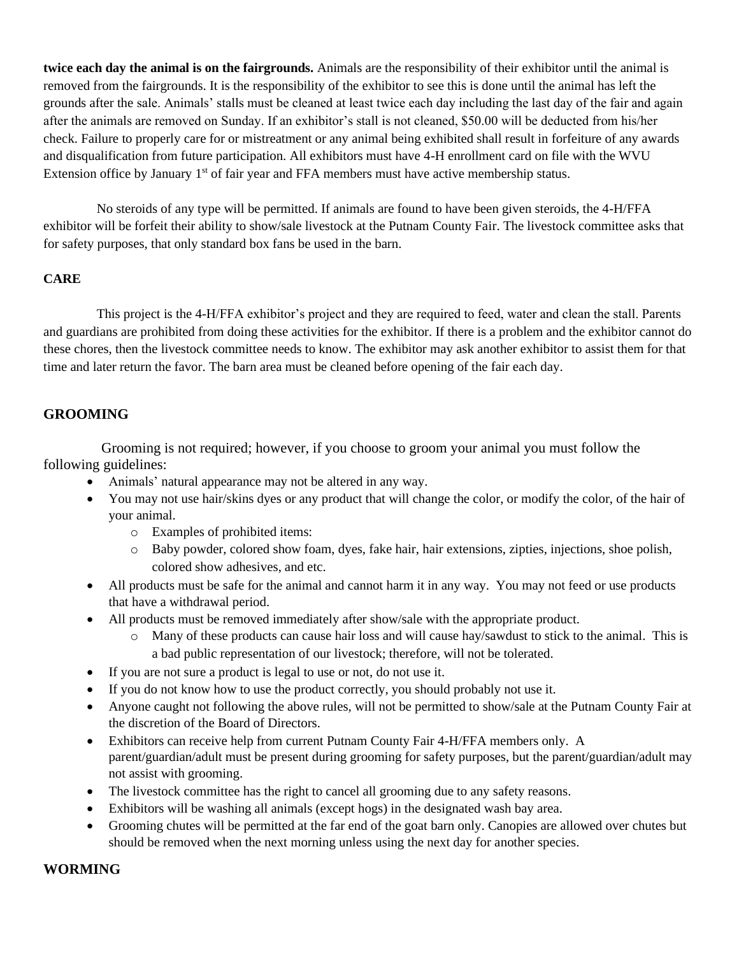**twice each day the animal is on the fairgrounds.** Animals are the responsibility of their exhibitor until the animal is removed from the fairgrounds. It is the responsibility of the exhibitor to see this is done until the animal has left the grounds after the sale. Animals' stalls must be cleaned at least twice each day including the last day of the fair and again after the animals are removed on Sunday. If an exhibitor's stall is not cleaned, \$50.00 will be deducted from his/her check. Failure to properly care for or mistreatment or any animal being exhibited shall result in forfeiture of any awards and disqualification from future participation. All exhibitors must have 4-H enrollment card on file with the WVU Extension office by January 1<sup>st</sup> of fair year and FFA members must have active membership status.

 No steroids of any type will be permitted. If animals are found to have been given steroids, the 4-H/FFA exhibitor will be forfeit their ability to show/sale livestock at the Putnam County Fair. The livestock committee asks that for safety purposes, that only standard box fans be used in the barn.

### **CARE**

 This project is the 4-H/FFA exhibitor's project and they are required to feed, water and clean the stall. Parents and guardians are prohibited from doing these activities for the exhibitor. If there is a problem and the exhibitor cannot do these chores, then the livestock committee needs to know. The exhibitor may ask another exhibitor to assist them for that time and later return the favor. The barn area must be cleaned before opening of the fair each day.

# **GROOMING**

 Grooming is not required; however, if you choose to groom your animal you must follow the following guidelines:

- Animals' natural appearance may not be altered in any way.
- You may not use hair/skins dyes or any product that will change the color, or modify the color, of the hair of your animal.
	- o Examples of prohibited items:
	- o Baby powder, colored show foam, dyes, fake hair, hair extensions, zipties, injections, shoe polish, colored show adhesives, and etc.
- All products must be safe for the animal and cannot harm it in any way. You may not feed or use products that have a withdrawal period.
- All products must be removed immediately after show/sale with the appropriate product.
	- Many of these products can cause hair loss and will cause hay/sawdust to stick to the animal. This is a bad public representation of our livestock; therefore, will not be tolerated.
- If you are not sure a product is legal to use or not, do not use it.
- If you do not know how to use the product correctly, you should probably not use it.
- Anyone caught not following the above rules, will not be permitted to show/sale at the Putnam County Fair at the discretion of the Board of Directors.
- Exhibitors can receive help from current Putnam County Fair 4-H/FFA members only. A parent/guardian/adult must be present during grooming for safety purposes, but the parent/guardian/adult may not assist with grooming.
- The livestock committee has the right to cancel all grooming due to any safety reasons.
- Exhibitors will be washing all animals (except hogs) in the designated wash bay area.
- Grooming chutes will be permitted at the far end of the goat barn only. Canopies are allowed over chutes but should be removed when the next morning unless using the next day for another species.

### **WORMING**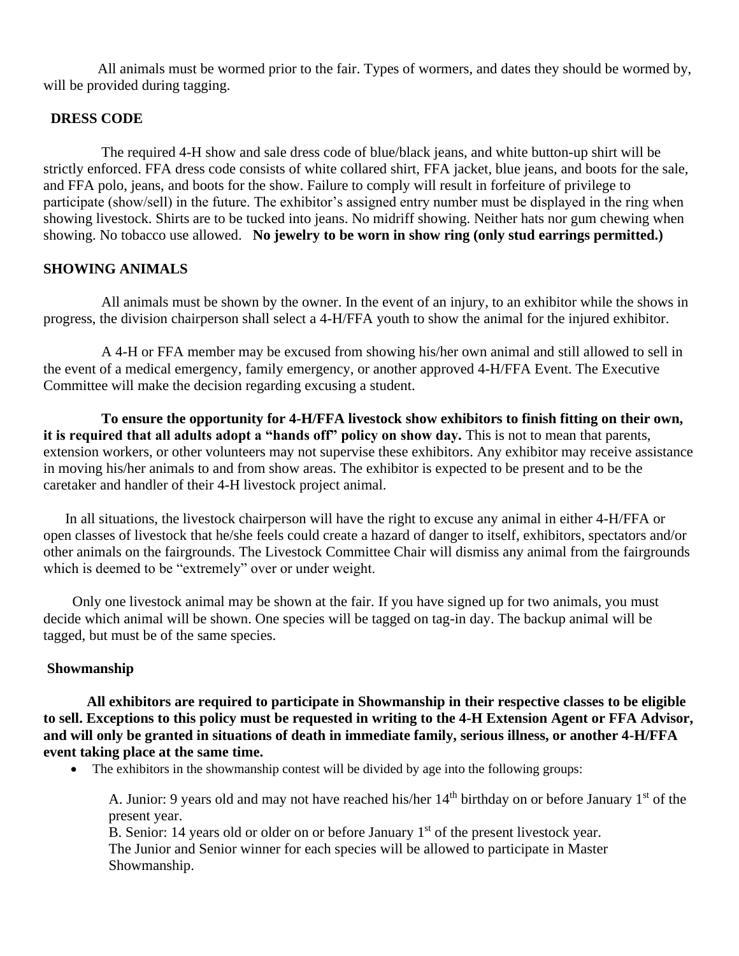All animals must be wormed prior to the fair. Types of wormers, and dates they should be wormed by, will be provided during tagging.

### **DRESS CODE**

 The required 4-H show and sale dress code of blue/black jeans, and white button-up shirt will be strictly enforced. FFA dress code consists of white collared shirt, FFA jacket, blue jeans, and boots for the sale, and FFA polo, jeans, and boots for the show. Failure to comply will result in forfeiture of privilege to participate (show/sell) in the future. The exhibitor's assigned entry number must be displayed in the ring when showing livestock. Shirts are to be tucked into jeans. No midriff showing. Neither hats nor gum chewing when showing. No tobacco use allowed. **No jewelry to be worn in show ring (only stud earrings permitted.)**

### **SHOWING ANIMALS**

 All animals must be shown by the owner. In the event of an injury, to an exhibitor while the shows in progress, the division chairperson shall select a 4-H/FFA youth to show the animal for the injured exhibitor.

 A 4-H or FFA member may be excused from showing his/her own animal and still allowed to sell in the event of a medical emergency, family emergency, or another approved 4-H/FFA Event. The Executive Committee will make the decision regarding excusing a student.

 **To ensure the opportunity for 4-H/FFA livestock show exhibitors to finish fitting on their own, it is required that all adults adopt a "hands off" policy on show day.** This is not to mean that parents, extension workers, or other volunteers may not supervise these exhibitors. Any exhibitor may receive assistance in moving his/her animals to and from show areas. The exhibitor is expected to be present and to be the caretaker and handler of their 4-H livestock project animal.

In all situations, the livestock chairperson will have the right to excuse any animal in either 4-H/FFA or open classes of livestock that he/she feels could create a hazard of danger to itself, exhibitors, spectators and/or other animals on the fairgrounds. The Livestock Committee Chair will dismiss any animal from the fairgrounds which is deemed to be "extremely" over or under weight.

 Only one livestock animal may be shown at the fair. If you have signed up for two animals, you must decide which animal will be shown. One species will be tagged on tag-in day. The backup animal will be tagged, but must be of the same species.

### **Showmanship**

**All exhibitors are required to participate in Showmanship in their respective classes to be eligible to sell. Exceptions to this policy must be requested in writing to the 4-H Extension Agent or FFA Advisor, and will only be granted in situations of death in immediate family, serious illness, or another 4-H/FFA event taking place at the same time.** 

• The exhibitors in the showmanship contest will be divided by age into the following groups:

A. Junior: 9 years old and may not have reached his/her  $14<sup>th</sup>$  birthday on or before January  $1<sup>st</sup>$  of the present year.

B. Senior: 14 years old or older on or before January  $1<sup>st</sup>$  of the present livestock year. The Junior and Senior winner for each species will be allowed to participate in Master Showmanship.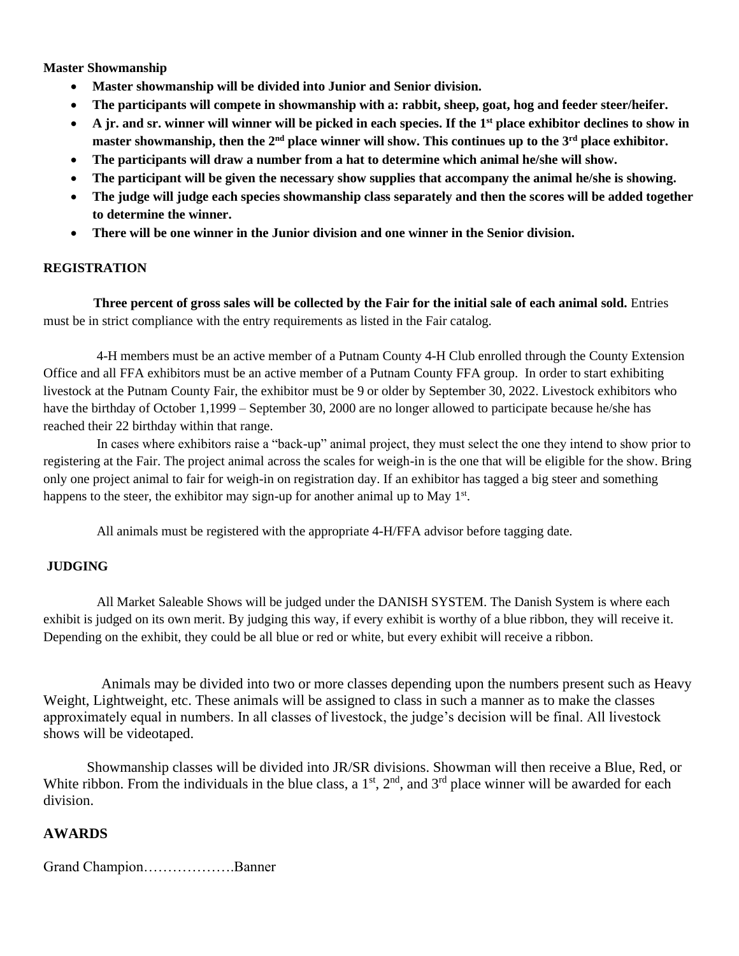**Master Showmanship**

- **Master showmanship will be divided into Junior and Senior division.**
- **The participants will compete in showmanship with a: rabbit, sheep, goat, hog and feeder steer/heifer.**
- **A jr. and sr. winner will winner will be picked in each species. If the 1st place exhibitor declines to show in master showmanship, then the 2nd place winner will show. This continues up to the 3rd place exhibitor.**
- **The participants will draw a number from a hat to determine which animal he/she will show.**
- **The participant will be given the necessary show supplies that accompany the animal he/she is showing.**
- **The judge will judge each species showmanship class separately and then the scores will be added together to determine the winner.**
- **There will be one winner in the Junior division and one winner in the Senior division.**

#### **REGISTRATION**

 **Three percent of gross sales will be collected by the Fair for the initial sale of each animal sold.** Entries must be in strict compliance with the entry requirements as listed in the Fair catalog.

 4-H members must be an active member of a Putnam County 4-H Club enrolled through the County Extension Office and all FFA exhibitors must be an active member of a Putnam County FFA group. In order to start exhibiting livestock at the Putnam County Fair, the exhibitor must be 9 or older by September 30, 2022. Livestock exhibitors who have the birthday of October 1,1999 – September 30, 2000 are no longer allowed to participate because he/she has reached their 22 birthday within that range.

 In cases where exhibitors raise a "back-up" animal project, they must select the one they intend to show prior to registering at the Fair. The project animal across the scales for weigh-in is the one that will be eligible for the show. Bring only one project animal to fair for weigh-in on registration day. If an exhibitor has tagged a big steer and something happens to the steer, the exhibitor may sign-up for another animal up to May  $1<sup>st</sup>$ .

All animals must be registered with the appropriate 4-H/FFA advisor before tagging date.

#### **JUDGING**

 All Market Saleable Shows will be judged under the DANISH SYSTEM. The Danish System is where each exhibit is judged on its own merit. By judging this way, if every exhibit is worthy of a blue ribbon, they will receive it. Depending on the exhibit, they could be all blue or red or white, but every exhibit will receive a ribbon.

 Animals may be divided into two or more classes depending upon the numbers present such as Heavy Weight, Lightweight, etc. These animals will be assigned to class in such a manner as to make the classes approximately equal in numbers. In all classes of livestock, the judge's decision will be final. All livestock shows will be videotaped.

Showmanship classes will be divided into JR/SR divisions. Showman will then receive a Blue, Red, or White ribbon. From the individuals in the blue class, a  $1<sup>st</sup>$ ,  $2<sup>nd</sup>$ , and  $3<sup>rd</sup>$  place winner will be awarded for each division.

#### **AWARDS**

Grand Champion……………….Banner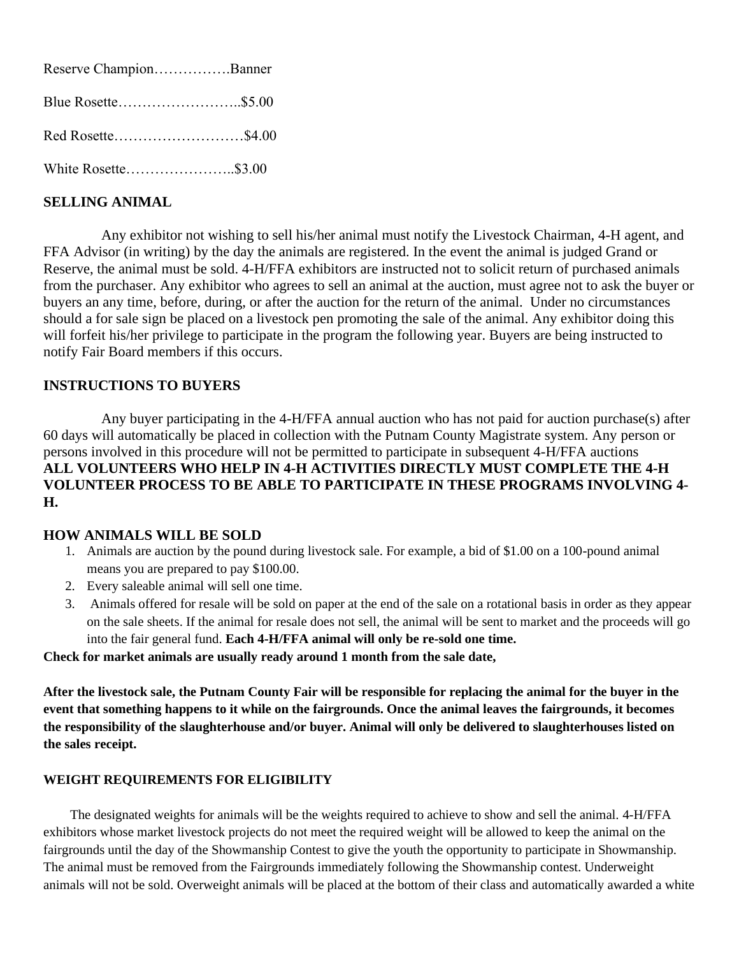Reserve Champion…………….Banner Blue Rosette……………………..\$5.00 Red Rosette………………………\$4.00 White Rosette…………………..\$3.00

# **SELLING ANIMAL**

 Any exhibitor not wishing to sell his/her animal must notify the Livestock Chairman, 4-H agent, and FFA Advisor (in writing) by the day the animals are registered. In the event the animal is judged Grand or Reserve, the animal must be sold. 4-H/FFA exhibitors are instructed not to solicit return of purchased animals from the purchaser. Any exhibitor who agrees to sell an animal at the auction, must agree not to ask the buyer or buyers an any time, before, during, or after the auction for the return of the animal. Under no circumstances should a for sale sign be placed on a livestock pen promoting the sale of the animal. Any exhibitor doing this will forfeit his/her privilege to participate in the program the following year. Buyers are being instructed to notify Fair Board members if this occurs.

### **INSTRUCTIONS TO BUYERS**

 Any buyer participating in the 4-H/FFA annual auction who has not paid for auction purchase(s) after 60 days will automatically be placed in collection with the Putnam County Magistrate system. Any person or persons involved in this procedure will not be permitted to participate in subsequent 4-H/FFA auctions **ALL VOLUNTEERS WHO HELP IN 4-H ACTIVITIES DIRECTLY MUST COMPLETE THE 4-H VOLUNTEER PROCESS TO BE ABLE TO PARTICIPATE IN THESE PROGRAMS INVOLVING 4- H.**

### **HOW ANIMALS WILL BE SOLD**

- 1. Animals are auction by the pound during livestock sale. For example, a bid of \$1.00 on a 100-pound animal means you are prepared to pay \$100.00.
- 2. Every saleable animal will sell one time.
- 3. Animals offered for resale will be sold on paper at the end of the sale on a rotational basis in order as they appear on the sale sheets. If the animal for resale does not sell, the animal will be sent to market and the proceeds will go into the fair general fund. **Each 4-H/FFA animal will only be re-sold one time.**

#### **Check for market animals are usually ready around 1 month from the sale date,**

**After the livestock sale, the Putnam County Fair will be responsible for replacing the animal for the buyer in the event that something happens to it while on the fairgrounds. Once the animal leaves the fairgrounds, it becomes the responsibility of the slaughterhouse and/or buyer. Animal will only be delivered to slaughterhouses listed on the sales receipt.** 

#### **WEIGHT REQUIREMENTS FOR ELIGIBILITY**

The designated weights for animals will be the weights required to achieve to show and sell the animal. 4-H/FFA exhibitors whose market livestock projects do not meet the required weight will be allowed to keep the animal on the fairgrounds until the day of the Showmanship Contest to give the youth the opportunity to participate in Showmanship. The animal must be removed from the Fairgrounds immediately following the Showmanship contest. Underweight animals will not be sold. Overweight animals will be placed at the bottom of their class and automatically awarded a white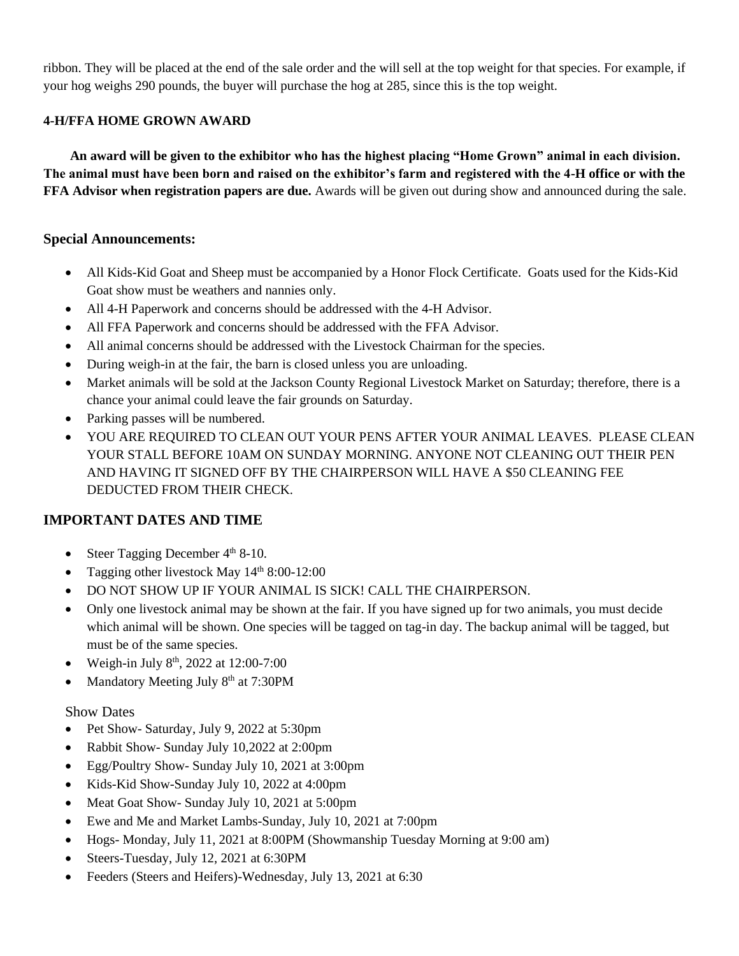ribbon. They will be placed at the end of the sale order and the will sell at the top weight for that species. For example, if your hog weighs 290 pounds, the buyer will purchase the hog at 285, since this is the top weight.

### **4-H/FFA HOME GROWN AWARD**

 **An award will be given to the exhibitor who has the highest placing "Home Grown" animal in each division. The animal must have been born and raised on the exhibitor's farm and registered with the 4-H office or with the FFA Advisor when registration papers are due.** Awards will be given out during show and announced during the sale.

### **Special Announcements:**

- All Kids-Kid Goat and Sheep must be accompanied by a Honor Flock Certificate. Goats used for the Kids-Kid Goat show must be weathers and nannies only.
- All 4-H Paperwork and concerns should be addressed with the 4-H Advisor.
- All FFA Paperwork and concerns should be addressed with the FFA Advisor.
- All animal concerns should be addressed with the Livestock Chairman for the species.
- During weigh-in at the fair, the barn is closed unless you are unloading.
- Market animals will be sold at the Jackson County Regional Livestock Market on Saturday; therefore, there is a chance your animal could leave the fair grounds on Saturday.
- Parking passes will be numbered.
- YOU ARE REQUIRED TO CLEAN OUT YOUR PENS AFTER YOUR ANIMAL LEAVES. PLEASE CLEAN YOUR STALL BEFORE 10AM ON SUNDAY MORNING. ANYONE NOT CLEANING OUT THEIR PEN AND HAVING IT SIGNED OFF BY THE CHAIRPERSON WILL HAVE A \$50 CLEANING FEE DEDUCTED FROM THEIR CHECK.

# **IMPORTANT DATES AND TIME**

- Steer Tagging December  $4<sup>th</sup> 8-10$ .
- Tagging other livestock May 14<sup>th</sup> 8:00-12:00
- DO NOT SHOW UP IF YOUR ANIMAL IS SICK! CALL THE CHAIRPERSON.
- Only one livestock animal may be shown at the fair. If you have signed up for two animals, you must decide which animal will be shown. One species will be tagged on tag-in day. The backup animal will be tagged, but must be of the same species.
- Weigh-in July  $8^{th}$ , 2022 at 12:00-7:00
- Mandatory Meeting July 8<sup>th</sup> at 7:30PM

### Show Dates

- Pet Show- Saturday, July 9, 2022 at 5:30pm
- Rabbit Show- Sunday July 10,2022 at 2:00pm
- Egg/Poultry Show- Sunday July 10, 2021 at 3:00pm
- Kids-Kid Show-Sunday July 10, 2022 at 4:00pm
- Meat Goat Show- Sunday July 10, 2021 at 5:00pm
- Ewe and Me and Market Lambs-Sunday, July 10, 2021 at 7:00pm
- Hogs- Monday, July 11, 2021 at 8:00PM (Showmanship Tuesday Morning at 9:00 am)
- Steers-Tuesday, July 12, 2021 at 6:30PM
- Feeders (Steers and Heifers)-Wednesday, July 13, 2021 at 6:30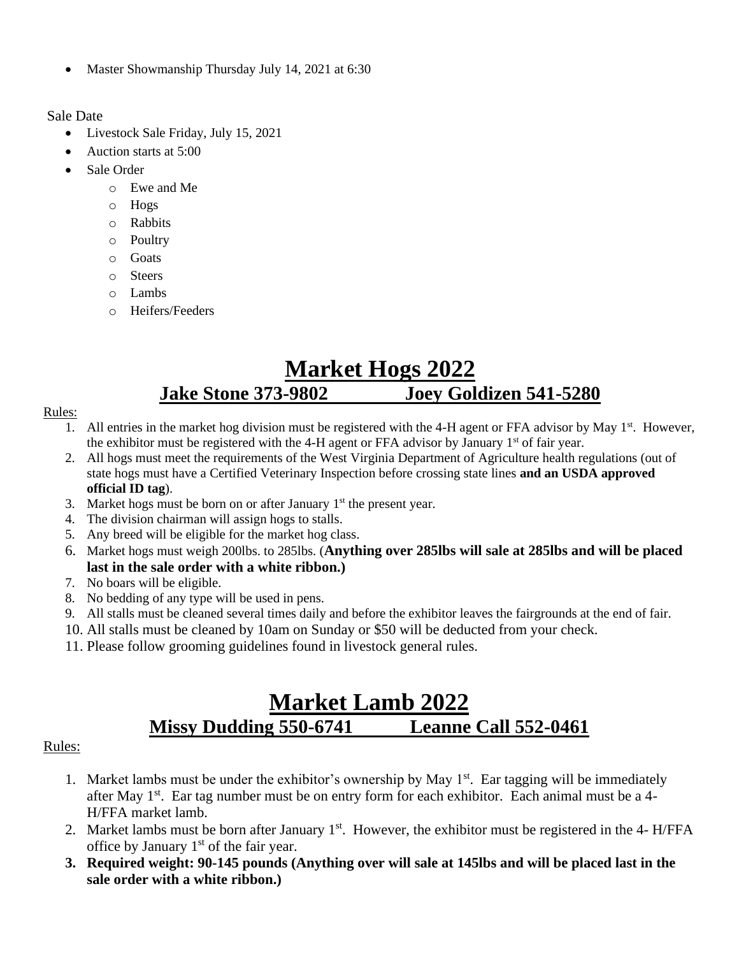• Master Showmanship Thursday July 14, 2021 at 6:30

Sale Date

- Livestock Sale Friday, July 15, 2021
- Auction starts at 5:00
- Sale Order
	- o Ewe and Me
	- o Hogs
	- o Rabbits
	- o Poultry
	- o Goats
	- o Steers
	- o Lambs
	- o Heifers/Feeders

# **Market Hogs 2022 Jake Stone 373-9802 Joey Goldizen 541-5280**

### Rules:

- 1. All entries in the market hog division must be registered with the 4-H agent or FFA advisor by May  $1<sup>st</sup>$ . However, the exhibitor must be registered with the 4-H agent or FFA advisor by January  $1<sup>st</sup>$  of fair year.
- 2. All hogs must meet the requirements of the West Virginia Department of Agriculture health regulations (out of state hogs must have a Certified Veterinary Inspection before crossing state lines **and an USDA approved official ID tag**).
- 3. Market hogs must be born on or after January  $1<sup>st</sup>$  the present year.
- 4. The division chairman will assign hogs to stalls.
- 5. Any breed will be eligible for the market hog class.
- 6. Market hogs must weigh 200lbs. to 285lbs. (**Anything over 285lbs will sale at 285lbs and will be placed last in the sale order with a white ribbon.)**
- 7. No boars will be eligible.
- 8. No bedding of any type will be used in pens.
- 9. All stalls must be cleaned several times daily and before the exhibitor leaves the fairgrounds at the end of fair.
- 10. All stalls must be cleaned by 10am on Sunday or \$50 will be deducted from your check.
- 11. Please follow grooming guidelines found in livestock general rules.

# **Market Lamb 2022 Missy Dudding 550-6741 Leanne Call 552-0461**

### Rules:

- 1. Market lambs must be under the exhibitor's ownership by May 1<sup>st</sup>. Ear tagging will be immediately after May 1<sup>st</sup>. Ear tag number must be on entry form for each exhibitor. Each animal must be a 4-H/FFA market lamb.
- 2. Market lambs must be born after January 1<sup>st</sup>. However, the exhibitor must be registered in the 4- H/FFA office by January  $1<sup>st</sup>$  of the fair year.
- **3. Required weight: 90-145 pounds (Anything over will sale at 145lbs and will be placed last in the sale order with a white ribbon.)**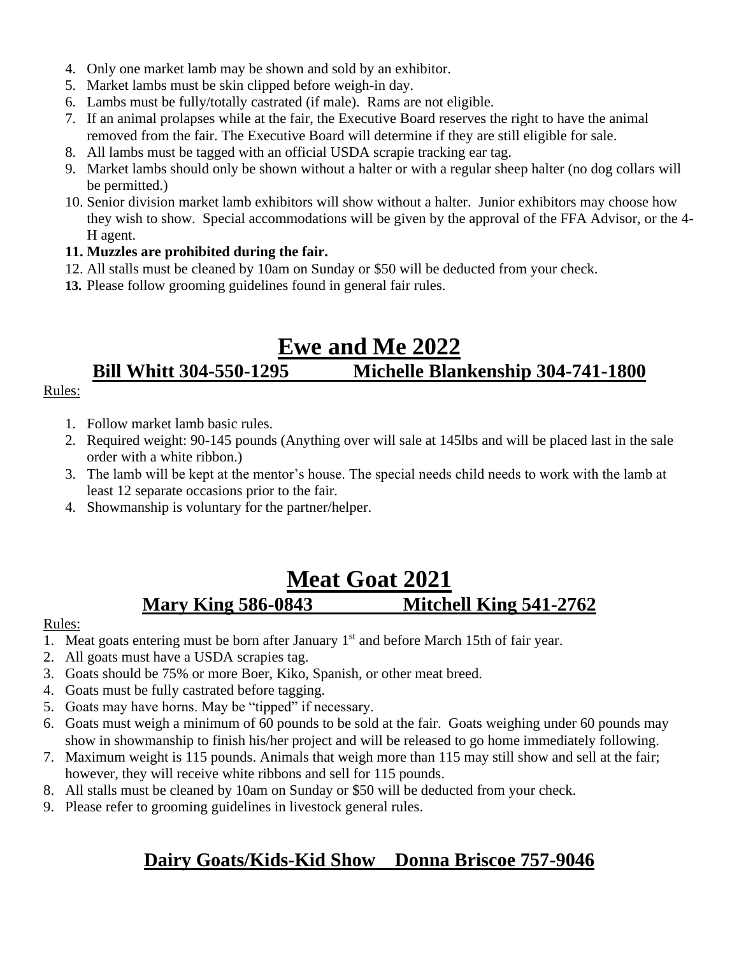- 4. Only one market lamb may be shown and sold by an exhibitor.
- 5. Market lambs must be skin clipped before weigh-in day.
- 6. Lambs must be fully/totally castrated (if male). Rams are not eligible.
- 7. If an animal prolapses while at the fair, the Executive Board reserves the right to have the animal removed from the fair. The Executive Board will determine if they are still eligible for sale.
- 8. All lambs must be tagged with an official USDA scrapie tracking ear tag.
- 9. Market lambs should only be shown without a halter or with a regular sheep halter (no dog collars will be permitted.)
- 10. Senior division market lamb exhibitors will show without a halter. Junior exhibitors may choose how they wish to show. Special accommodations will be given by the approval of the FFA Advisor, or the 4- H agent.

# **11. Muzzles are prohibited during the fair.**

- 12. All stalls must be cleaned by 10am on Sunday or \$50 will be deducted from your check.
- **13.** Please follow grooming guidelines found in general fair rules.

# **Ewe and Me 2022 Bill Whitt 304-550-1295 Michelle Blankenship 304-741-1800**

# Rules:

- 1. Follow market lamb basic rules.
- 2. Required weight: 90-145 pounds (Anything over will sale at 145lbs and will be placed last in the sale order with a white ribbon.)
- 3. The lamb will be kept at the mentor's house. The special needs child needs to work with the lamb at least 12 separate occasions prior to the fair.
- 4. Showmanship is voluntary for the partner/helper.

# **Meat Goat 2021 Mary King 586-0843 Mitchell King 541-2762**

# Rules:

- 1. Meat goats entering must be born after January  $1<sup>st</sup>$  and before March 15th of fair year.
- 2. All goats must have a USDA scrapies tag.
- 3. Goats should be 75% or more Boer, Kiko, Spanish, or other meat breed.
- 4. Goats must be fully castrated before tagging.
- 5. Goats may have horns. May be "tipped" if necessary.
- 6. Goats must weigh a minimum of 60 pounds to be sold at the fair. Goats weighing under 60 pounds may show in showmanship to finish his/her project and will be released to go home immediately following.
- 7. Maximum weight is 115 pounds. Animals that weigh more than 115 may still show and sell at the fair; however, they will receive white ribbons and sell for 115 pounds.
- 8. All stalls must be cleaned by 10am on Sunday or \$50 will be deducted from your check.
- 9. Please refer to grooming guidelines in livestock general rules.

# **Dairy Goats/Kids-Kid Show Donna Briscoe 757-9046**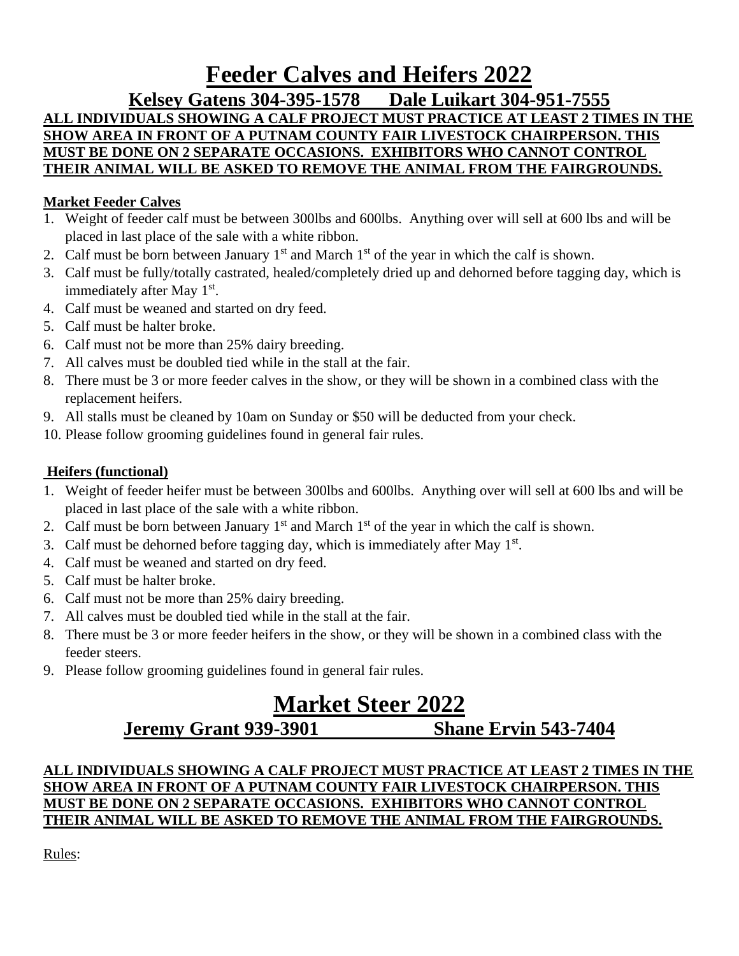# **Feeder Calves and Heifers 2022**

**Kelsey Gatens 304-395-1578 Dale Luikart 304-951-7555**

# **ALL INDIVIDUALS SHOWING A CALF PROJECT MUST PRACTICE AT LEAST 2 TIMES IN THE SHOW AREA IN FRONT OF A PUTNAM COUNTY FAIR LIVESTOCK CHAIRPERSON. THIS MUST BE DONE ON 2 SEPARATE OCCASIONS. EXHIBITORS WHO CANNOT CONTROL THEIR ANIMAL WILL BE ASKED TO REMOVE THE ANIMAL FROM THE FAIRGROUNDS.**

# **Market Feeder Calves**

- 1. Weight of feeder calf must be between 300lbs and 600lbs. Anything over will sell at 600 lbs and will be placed in last place of the sale with a white ribbon.
- 2. Calf must be born between January  $1<sup>st</sup>$  and March  $1<sup>st</sup>$  of the year in which the calf is shown.
- 3. Calf must be fully/totally castrated, healed/completely dried up and dehorned before tagging day, which is immediately after May 1<sup>st</sup>.
- 4. Calf must be weaned and started on dry feed.
- 5. Calf must be halter broke.
- 6. Calf must not be more than 25% dairy breeding.
- 7. All calves must be doubled tied while in the stall at the fair.
- 8. There must be 3 or more feeder calves in the show, or they will be shown in a combined class with the replacement heifers.
- 9. All stalls must be cleaned by 10am on Sunday or \$50 will be deducted from your check.
- 10. Please follow grooming guidelines found in general fair rules.

# **Heifers (functional)**

- 1. Weight of feeder heifer must be between 300lbs and 600lbs. Anything over will sell at 600 lbs and will be placed in last place of the sale with a white ribbon.
- 2. Calf must be born between January  $1<sup>st</sup>$  and March  $1<sup>st</sup>$  of the year in which the calf is shown.
- 3. Calf must be dehorned before tagging day, which is immediately after May  $1<sup>st</sup>$ .
- 4. Calf must be weaned and started on dry feed.
- 5. Calf must be halter broke.
- 6. Calf must not be more than 25% dairy breeding.
- 7. All calves must be doubled tied while in the stall at the fair.
- 8. There must be 3 or more feeder heifers in the show, or they will be shown in a combined class with the feeder steers.
- 9. Please follow grooming guidelines found in general fair rules.

# **Market Steer 2022**

# **Jeremy Grant 939-3901 Shane Ervin 543-7404**

# **ALL INDIVIDUALS SHOWING A CALF PROJECT MUST PRACTICE AT LEAST 2 TIMES IN THE SHOW AREA IN FRONT OF A PUTNAM COUNTY FAIR LIVESTOCK CHAIRPERSON. THIS MUST BE DONE ON 2 SEPARATE OCCASIONS. EXHIBITORS WHO CANNOT CONTROL THEIR ANIMAL WILL BE ASKED TO REMOVE THE ANIMAL FROM THE FAIRGROUNDS.**

Rules: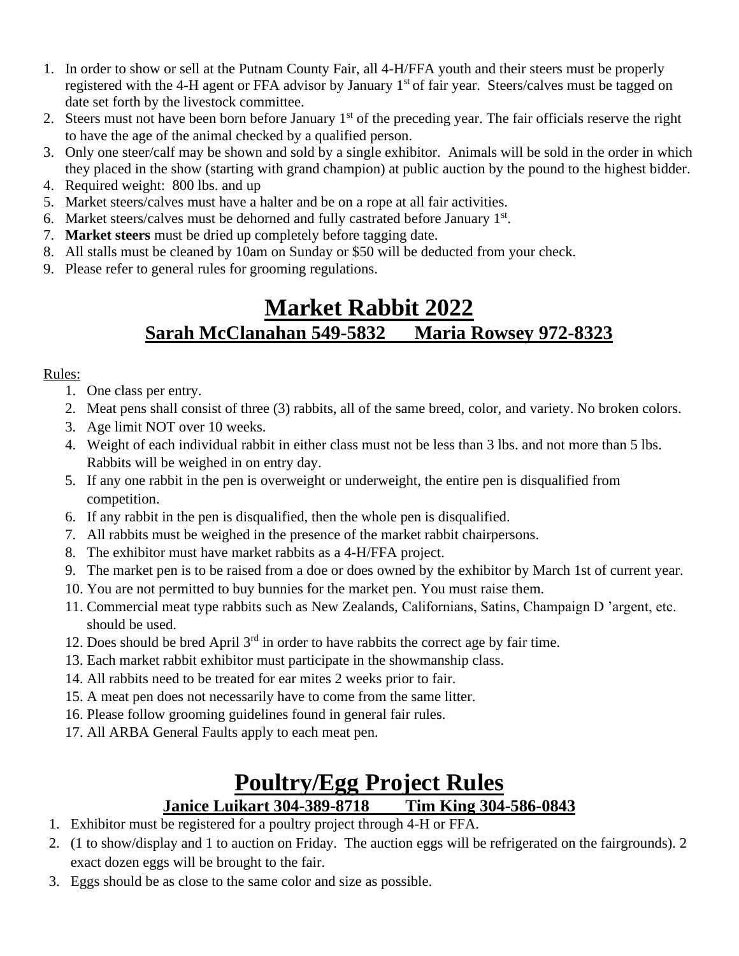- 1. In order to show or sell at the Putnam County Fair, all 4-H/FFA youth and their steers must be properly registered with the 4-H agent or FFA advisor by January 1<sup>st</sup> of fair year. Steers/calves must be tagged on date set forth by the livestock committee.
- 2. Steers must not have been born before January 1<sup>st</sup> of the preceding year. The fair officials reserve the right to have the age of the animal checked by a qualified person.
- 3. Only one steer/calf may be shown and sold by a single exhibitor. Animals will be sold in the order in which they placed in the show (starting with grand champion) at public auction by the pound to the highest bidder.
- 4. Required weight: 800 lbs. and up
- 5.Market steers/calves must have a halter and be on a rope at all fair activities.
- 6. Market steers/calves must be dehorned and fully castrated before January 1st.
- 7. **Market steers** must be dried up completely before tagging date.
- 8. All stalls must be cleaned by 10am on Sunday or \$50 will be deducted from your check.
- 9. Please refer to general rules for grooming regulations.

# **Market Rabbit 2022 Sarah McClanahan 549-5832 Maria Rowsey 972-8323**

# Rules:

- 1. One class per entry.
- 2. Meat pens shall consist of three (3) rabbits, all of the same breed, color, and variety. No broken colors.
- 3. Age limit NOT over 10 weeks.
- 4. Weight of each individual rabbit in either class must not be less than 3 lbs. and not more than 5 lbs. Rabbits will be weighed in on entry day.
- 5. If any one rabbit in the pen is overweight or underweight, the entire pen is disqualified from competition.
- 6. If any rabbit in the pen is disqualified, then the whole pen is disqualified.
- 7. All rabbits must be weighed in the presence of the market rabbit chairpersons.
- 8. The exhibitor must have market rabbits as a 4-H/FFA project.
- 9. The market pen is to be raised from a doe or does owned by the exhibitor by March 1st of current year.
- 10. You are not permitted to buy bunnies for the market pen. You must raise them.
- 11. Commercial meat type rabbits such as New Zealands, Californians, Satins, Champaign D 'argent, etc. should be used.
- 12. Does should be bred April 3rd in order to have rabbits the correct age by fair time.
- 13. Each market rabbit exhibitor must participate in the showmanship class.
- 14. All rabbits need to be treated for ear mites 2 weeks prior to fair.
- 15. A meat pen does not necessarily have to come from the same litter.
- 16. Please follow grooming guidelines found in general fair rules.
- 17. All ARBA General Faults apply to each meat pen.

# **Poultry/Egg Project Rules Janice Luikart 304-389-8718 Tim King 304-586-0843**

- 1. Exhibitor must be registered for a poultry project through 4-H or FFA.
- 2. (1 to show/display and 1 to auction on Friday. The auction eggs will be refrigerated on the fairgrounds). 2 exact dozen eggs will be brought to the fair.
- 3. Eggs should be as close to the same color and size as possible.